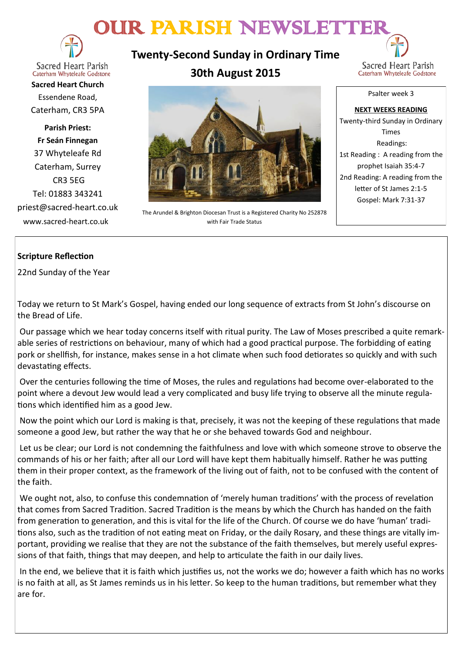# OUR PARISH NEWSLETTER



**Sacred Heart Parish** Caterham Whyteleafe Godstone

**Sacred Heart Church** Essendene Road, Caterham, CR3 5PA

**Parish Priest: Fr Seán Finnegan** 37 Whyteleafe Rd Caterham, Surrey CR3 5EG Tel: 01883 343241 priest@sacred-heart.co.uk www.sacred-heart.co.uk

**Twenty-Second Sunday in Ordinary Time 30th August 2015**



Caterham Whyteleafe Godstone

Psalter week 3



The Arundel & Brighton Diocesan Trust is a Registered Charity No 252878 with Fair Trade Status

**NEXT WEEKS READING**

Twenty-third Sunday in Ordinary Times Readings: 1st Reading : A reading from the prophet Isaiah 35:4-7 2nd Reading: A reading from the letter of St James 2:1-5 Gospel: Mark 7:31-37

# **Scripture Reflection**

22nd Sunday of the Year

Today we return to St Mark's Gospel, having ended our long sequence of extracts from St John's discourse on the Bread of Life.

Our passage which we hear today concerns itself with ritual purity. The Law of Moses prescribed a quite remarkable series of restrictions on behaviour, many of which had a good practical purpose. The forbidding of eating pork or shellfish, for instance, makes sense in a hot climate when such food detiorates so quickly and with such devastating effects.

Over the centuries following the time of Moses, the rules and regulations had become over-elaborated to the point where a devout Jew would lead a very complicated and busy life trying to observe all the minute regulations which identified him as a good Jew.

Now the point which our Lord is making is that, precisely, it was not the keeping of these regulations that made someone a good Jew, but rather the way that he or she behaved towards God and neighbour.

Let us be clear; our Lord is not condemning the faithfulness and love with which someone strove to observe the commands of his or her faith; after all our Lord will have kept them habitually himself. Rather he was putting them in their proper context, as the framework of the living out of faith, not to be confused with the content of the faith.

We ought not, also, to confuse this condemnation of 'merely human traditions' with the process of revelation that comes from Sacred Tradition. Sacred Tradition is the means by which the Church has handed on the faith from generation to generation, and this is vital for the life of the Church. Of course we do have 'human' traditions also, such as the tradition of not eating meat on Friday, or the daily Rosary, and these things are vitally important, providing we realise that they are not the substance of the faith themselves, but merely useful expressions of that faith, things that may deepen, and help to articulate the faith in our daily lives.

In the end, we believe that it is faith which justifies us, not the works we do; however a faith which has no works is no faith at all, as St James reminds us in his letter. So keep to the human traditions, but remember what they are for.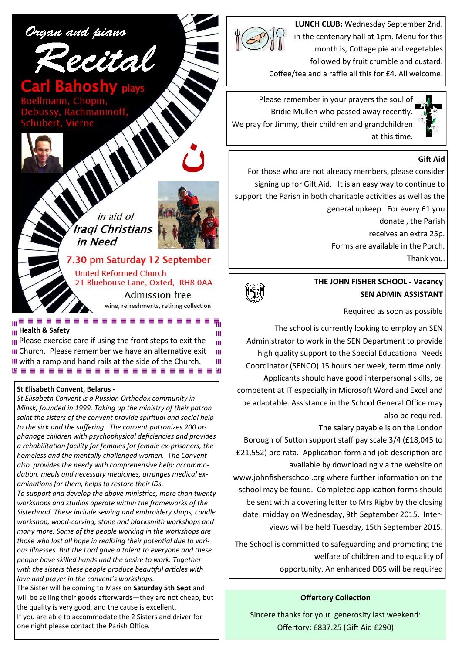

**LUNCH CLUB:** Wednesday September 2nd. in the centenary hall at 1pm. Menu for this month is, Cottage pie and vegetables followed by fruit crumble and custard.

Coffee/tea and a raffle all this for £4. All welcome.

Please remember in your prayers the soul of Bridie Mullen who passed away recently. We pray for Jimmy, their children and grandchildren at this time.

#### **Gift Aid**

For those who are not already members, please consider signing up for Gift Aid. It is an easy way to continue to support the Parish in both charitable activities as well as the general upkeep. For every £1 you donate , the Parish receives an extra 25p. Forms are available in the Porch. Thank you.



Required as soon as possible

The school is currently looking to employ an SEN Administrator to work in the SEN Department to provide high quality support to the Special Educational Needs Coordinator (SENCO) 15 hours per week, term time only. Applicants should have good interpersonal skills, be competent at IT especially in Microsoft Word and Excel and be adaptable. Assistance in the School General Office may also be required.

The salary payable is on the London

Borough of Sutton support staff pay scale 3/4 (£18,045 to £21,552) pro rata. Application form and job description are available by downloading via the website on www.johnfisherschool.org where further information on the school may be found. Completed application forms should be sent with a covering letter to Mrs Rigby by the closing date: midday on Wednesday, 9th September 2015. Interviews will be held Tuesday, 15th September 2015.

The School is committed to safeguarding and promoting the welfare of children and to equality of opportunity. An enhanced DBS will be required

#### **Offertory Collection**

Sincere thanks for your generosity last weekend: Offertory: £837.25 (Gift Aid £290)

Organ and piano



7.30 pm Saturday 12 September **United Reformed Church** 21 Bluehouse Lane, Oxted, RH8 0AA **Admission free** 

wine, refreshments, retiring collection

Ш Ш Ш Ш

#### **Health & Safety**

**III** Please exercise care if using the front steps to exit the **III** Church. Please remember we have an alternative exit with a ramp and hand rails at the side of the Church.

#### **St Elisabeth Convent, Belarus -**

*St Elisabeth Convent is a Russian Orthodox community in Minsk, founded in 1999. Taking up the ministry of their patron saint the sisters of the convent provide spiritual and social help to the sick and the suffering. The convent patronizes 200 orphanage children with psychophysical deficiencies and provides a rehabilitation facility for females for female ex-prisoners, the homeless and the mentally challenged women.* T*he Convent also provides the needy with comprehensive help: accommodation, meals and necessary medicines, arranges medical examinations for them, helps to restore their IDs.*

*To support and develop the above ministries, more than twenty workshops and studios operate within the frameworks of the Sisterhood. These include sewing and embroidery shops, candle workshop, wood-carving, stone and blacksmith workshops and many more. Some of the people working in the workshops are those who lost all hope in realizing their potential due to various illnesses. But the Lord gave a talent to everyone and these people have skilled hands and the desire to work. Together with the sisters these people produce beautiful articles with love and prayer in the convent's workshops.*

The Sister will be coming to Mass on **Saturday 5th Sept** and will be selling their goods afterwards—they are not cheap, but the quality is very good, and the cause is excellent.

If you are able to accommodate the 2 Sisters and driver for one night please contact the Parish Office.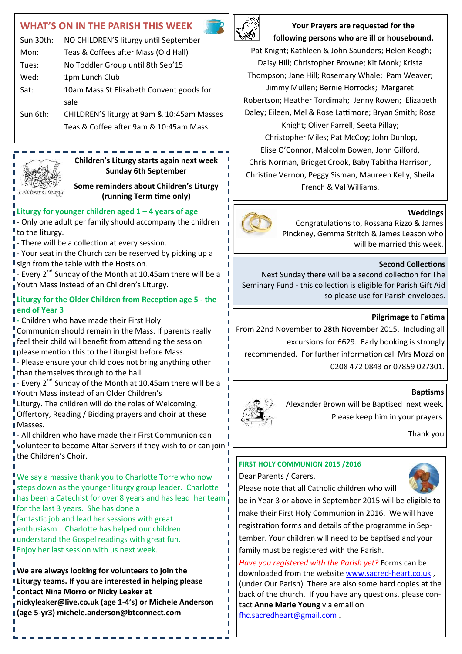# **WHAT'S ON IN THE PARISH THIS WEEK**

| Sun 30th: | NO CHILDREN'S liturgy until September      |  |
|-----------|--------------------------------------------|--|
| Mon:      | Teas & Coffees after Mass (Old Hall)       |  |
| Tues:     | No Toddler Group until 8th Sep'15          |  |
| Wed:      | 1pm Lunch Club                             |  |
| Sat:      | 10am Mass St Elisabeth Convent goods for   |  |
|           | sale                                       |  |
| Sun 6th:  | CHILDREN'S liturgy at 9am & 10:45am Masses |  |
|           | Teas & Coffee after 9am & 10:45am Mass     |  |

chíldren's Líturgy

# **Children's Liturgy starts again next week Sunday 6th September**

**Some reminders about Children's Liturgy (running Term time only)**

## **Liturgy for younger children aged 1 – 4 years of age**

I- Only one adult per family should accompany the children to the liturgy.

- There will be a collection at every session.

I - Your seat in the Church can be reserved by picking up a I sign from the table with the Hosts on.

- Every 2<sup>nd</sup> Sunday of the Month at 10.45am there will be a Youth Mass instead of an Children's Liturgy.

## **Liturgy for the Older Children from Reception age 5 - the end of Year 3**

**-** Children who have made their First Holy

Communion should remain in the Mass. If parents really feel their child will benefit from attending the session **I please mention this to the Liturgist before Mass.** 

I - Please ensure your child does not bring anything other than themselves through to the hall.

 $\frac{1}{4}$  - Every 2<sup>nd</sup> Sunday of the Month at 10.45am there will be a Youth Mass instead of an Older Children's

Liturgy. The children will do the roles of Welcoming.

Offertory, Reading / Bidding prayers and choir at these Masses.

- All children who have made their First Communion can volunteer to become Altar Servers if they wish to or can join I **the Children's Choir.** 

We say a massive thank you to Charlotte Torre who now steps down as the younger liturgy group leader. Charlotte has been a Catechist for over 8 years and has lead her team for the last 3 years. She has done a fantastic job and lead her sessions with great enthusiasm . Charlotte has helped our children

understand the Gospel readings with great fun. Enjoy her last session with us next week.

**We are always looking for volunteers to join the Liturgy teams. If you are interested in helping please contact Nina Morro or Nicky Leaker at nickyleaker@live.co.uk (age 1-4's) or Michele Anderson (age 5-yr3) michele.anderson@btconnect.com**



**Your Prayers are requested for the following persons who are ill or housebound.** 

Pat Knight; Kathleen & John Saunders; Helen Keogh; Daisy Hill; Christopher Browne; Kit Monk; Krista Thompson; Jane Hill; Rosemary Whale; Pam Weaver; Jimmy Mullen; Bernie Horrocks; Margaret Robertson; Heather Tordimah; Jenny Rowen; Elizabeth Daley; Eileen, Mel & Rose Lattimore; Bryan Smith; Rose Knight; Oliver Farrell; Seeta Pillay; Christopher Miles; Pat McCoy; John Dunlop, Elise O'Connor, Malcolm Bowen, John Gilford, Chris Norman, Bridget Crook, Baby Tabitha Harrison, Christine Vernon, Peggy Sisman, Maureen Kelly, Sheila French & Val Williams.

## **Weddings**

Congratulations to, Rossana Rizzo & James Pinckney, Gemma Stritch & James Leason who will be married this week.

## **Second Collections**

Next Sunday there will be a second collection for The Seminary Fund - this collection is eligible for Parish Gift Aid so please use for Parish envelopes.

## **Pilgrimage to Fatima**

From 22nd November to 28th November 2015. Including all

excursions for £629. Early booking is strongly recommended. For further information call Mrs Mozzi on

0208 472 0843 or 07859 027301.

#### **Baptisms**



Alexander Brown will be Baptised next week. Please keep him in your prayers.

Thank you

# **FIRST HOLY COMMUNION 2015 /2016**

Please note that all Catholic children who will

Dear Parents / Carers,



be in Year 3 or above in September 2015 will be eligible to make their First Holy Communion in 2016. We will have registration forms and details of the programme in September. Your children will need to be baptised and your family must be registered with the Parish.

*Have you registered with the Parish yet?* Forms can be downloaded from the website [www.sacred](http://www.sacred-heart.co.uk)-heart.co.uk , (under Our Parish). There are also some hard copies at the back of the church. If you have any questions, please contact **Anne Marie Young** via email on [fhc.sacredheart@gmail.com](mailto:fhc.sacredheart@gmail.com) .